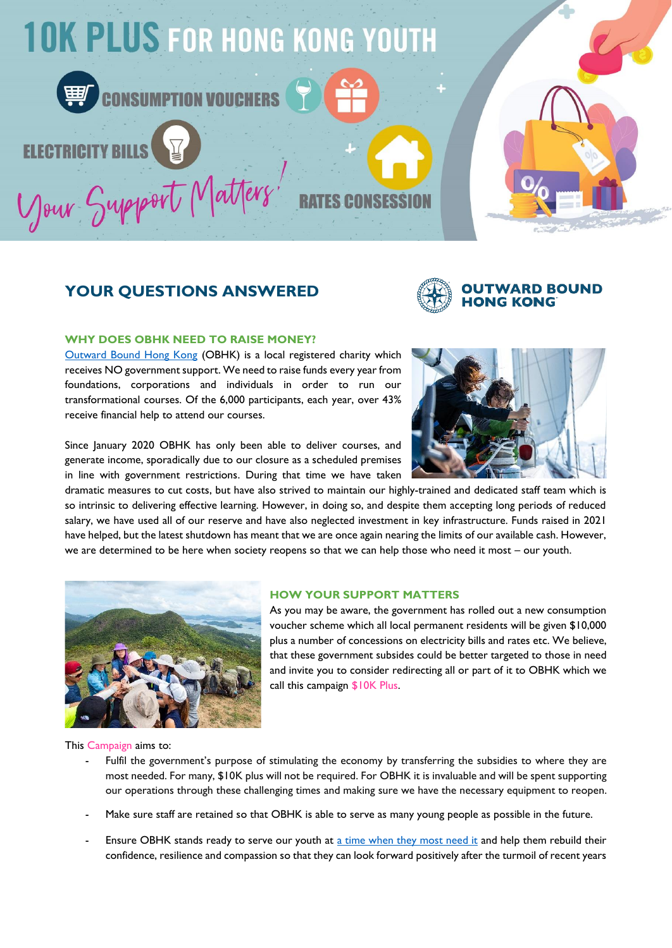

# **YOUR QUESTIONS ANSWERED**



# **WHY DOES OBHK NEED TO RAISE MONEY?**

[Outward Bound Hong Kong](https://www.outwardbound.org.hk/) (OBHK) is a local registered charity which receives NO government support. We need to raise funds every year from foundations, corporations and individuals in order to run our transformational courses. Of the 6,000 participants, each year, over 43% receive financial help to attend our courses.

Since January 2020 OBHK has only been able to deliver courses, and generate income, sporadically due to our closure as a scheduled premises in line with government restrictions. During that time we have taken

dramatic measures to cut costs, but have also strived to maintain our highly-trained and dedicated staff team which is so intrinsic to delivering effective learning. However, in doing so, and despite them accepting long periods of reduced salary, we have used all of our reserve and have also neglected investment in key infrastructure. Funds raised in 2021 have helped, but the latest shutdown has meant that we are once again nearing the limits of our available cash. However, we are determined to be here when society reopens so that we can help those who need it most – our youth.



#### **HOW YOUR SUPPORT MATTERS**

As you may be aware, the government has rolled out a new consumption voucher scheme which all local permanent residents will be given \$10,000 plus a number of concessions on electricity bills and rates etc. We believe, that these government subsides could be better targeted to those in need and invite you to consider redirecting all or part of it to OBHK which we call this campaign \$10K Plus.

This Campaign aims to:

- Fulfil the government's purpose of stimulating the economy by transferring the subsidies to where they are most needed. For many, \$10K plus will not be required. For OBHK it is invaluable and will be spent supporting our operations through these challenging times and making sure we have the necessary equipment to reopen.
- Make sure staff are retained so that OBHK is able to serve as many young people as possible in the future.
- Ensure OBHK stands ready to serve our youth at [a time when they most need it](https://www.scmp.com/lifestyle/health-wellness/article/3172750/how-online-classes-change-childrens-brains-erode-their) and help them rebuild their confidence, resilience and compassion so that they can look forward positively after the turmoil of recent years